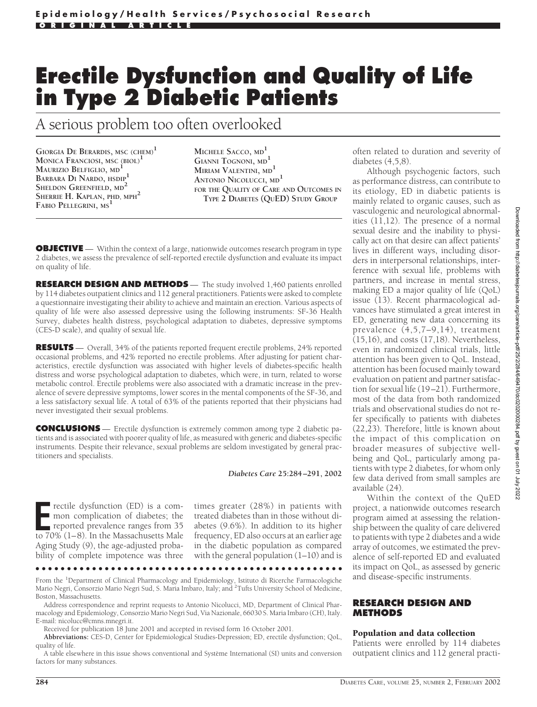# **Erectile Dysfunction and Quality of Life in Type 2 Diabetic Patients**

A serious problem too often overlooked

**GIORGIA DE BERARDIS, MSC (CHEM)<sup>1</sup> MONICA FRANCIOSI, MSC (BIOL)<sup>1</sup> MAURIZIO BELFIGLIO, MD<sup>1</sup> BARBARA DI NARDO, HSDIP<sup>1</sup> SHELDON GREENFIELD, MD<sup>2</sup> SHERRIE H. KAPLAN, PHD, MPH<sup>2</sup> FABIO PELLEGRINI, MS<sup>1</sup>**

**MICHELE SACCO, MD<sup>1</sup> GIANNI TOGNONI, MD<sup>1</sup> MIRIAM VALENTINI, MD<sup>1</sup> ANTONIO NICOLUCCI, MD<sup>1</sup> FOR THE QUALITY OF CARE AND OUTCOMES IN TYPE 2 DIABETES (QUED) STUDY GROUP**

**OBJECTIVE** — Within the context of a large, nationwide outcomes research program in type 2 diabetes, we assess the prevalence of self-reported erectile dysfunction and evaluate its impact on quality of life.

**RESEARCH DESIGN AND METHODS** — The study involved 1,460 patients enrolled by 114 diabetes outpatient clinics and 112 general practitioners. Patients were asked to complete a questionnaire investigating their ability to achieve and maintain an erection. Various aspects of quality of life were also assessed depressive using the following instruments: SF-36 Health Survey, diabetes health distress, psychological adaptation to diabetes, depressive symptoms (CES-D scale), and quality of sexual life.

**RESULTS** — Overall, 34% of the patients reported frequent erectile problems, 24% reported occasional problems, and 42% reported no erectile problems. After adjusting for patient characteristics, erectile dysfunction was associated with higher levels of diabetes-specific health distress and worse psychological adaptation to diabetes, which were, in turn, related to worse metabolic control. Erectile problems were also associated with a dramatic increase in the prevalence of severe depressive symptoms, lower scores in the mental components of the SF-36, and a less satisfactory sexual life. A total of 63% of the patients reported that their physicians had never investigated their sexual problems.

**CONCLUSIONS** — Erectile dysfunction is extremely common among type 2 diabetic patients and is associated with poorer quality of life, as measured with generic and diabetes-specific instruments. Despite their relevance, sexual problems are seldom investigated by general practitioners and specialists.

*Diabetes Care* **25:284–291, 2002**

**EXECUTE:** Frectile dysfunction (ED) is a com-<br>mon complication of diabetes; the<br>reported prevalence ranges from 35<br>to 70% (1–8). In the Massachusetts Male rectile dysfunction (ED) is a common complication of diabetes; the reported prevalence ranges from 35 Aging Study (9), the age-adjusted probability of complete impotence was three times greater (28%) in patients with treated diabetes than in those without diabetes (9.6%). In addition to its higher frequency, ED also occurs at an earlier age in the diabetic population as compared with the general population  $(1-10)$  and is

●●●●●●●●●●●●●●●●●●●●●●●●●●●●●●●●●●●●●●●●●●●●●●●●●

From the <sup>1</sup>Department of Clinical Pharmacology and Epidemiology, Istituto di Ricerche Farmacologiche<br>Mario Negri, Consorzio Mario Negri Sud, S. Maria Imbaro, Italy; and <sup>2</sup>Tufts University School of Medicine, Boston, Massachusetts.

Address correspondence and reprint requests to Antonio Nicolucci, MD, Department of Clinical Pharmacology and Epidemiology, Consorzio Mario Negri Sud, Via Nazionale, 66030 S. Maria Imbaro (CH), Italy. E-mail: nicolucc@cmns.mnegri.it.

Received for publication 18 June 2001 and accepted in revised form 16 October 2001.

**Abbreviations:** CES-D, Center for Epidemiological Studies-Depression; ED, erectile dysfunction; QoL, quality of life.

A table elsewhere in this issue shows conventional and Système International (SI) units and conversion factors for many substances

often related to duration and severity of diabetes (4,5,8).

Although psychogenic factors, such as performance distress, can contribute to its etiology, ED in diabetic patients is mainly related to organic causes, such as vasculogenic and neurological abnormalities (11,12). The presence of a normal sexual desire and the inability to physically act on that desire can affect patients' lives in different ways, including disorders in interpersonal relationships, interference with sexual life, problems with partners, and increase in mental stress, making ED a major quality of life (QoL) issue (13). Recent pharmacological advances have stimulated a great interest in ED, generating new data concerning its prevalence (4,5,7–9,14), treatment (15,16), and costs (17,18). Nevertheless, even in randomized clinical trials, little attention has been given to QoL. Instead, attention has been focused mainly toward evaluation on patient and partner satisfaction for sexual life (19–21). Furthermore, most of the data from both randomized trials and observational studies do not refer specifically to patients with diabetes (22,23). Therefore, little is known about the impact of this complication on broader measures of subjective wellbeing and QoL, particularly among patients with type 2 diabetes, for whom only few data derived from small samples are available (24).

Within the context of the QuED project, a nationwide outcomes research program aimed at assessing the relationship between the quality of care delivered to patients with type 2 diabetes and a wide array of outcomes, we estimated the prevalence of self-reported ED and evaluated its impact on QoL, as assessed by generic and disease-specific instruments.

#### **RESEARCH DESIGN AND METHODS**

#### Population and data collection

Patients were enrolled by 114 diabetes outpatient clinics and 112 general practi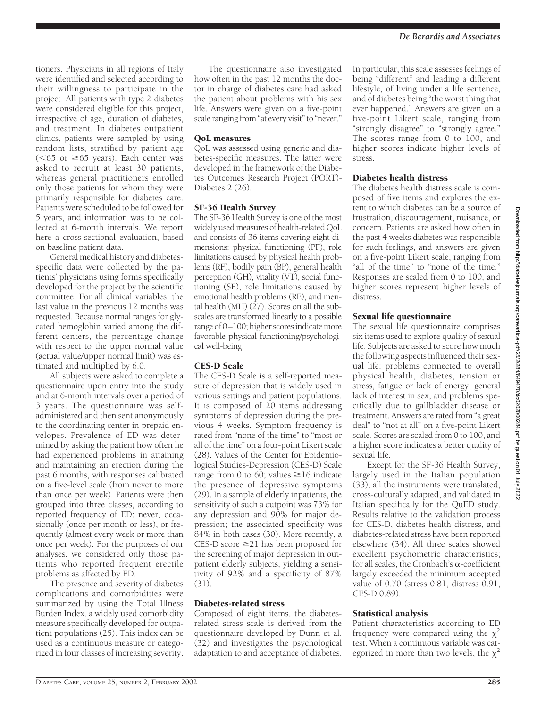tioners. Physicians in all regions of Italy were identified and selected according to their willingness to participate in the project. All patients with type 2 diabetes were considered eligible for this project, irrespective of age, duration of diabetes, and treatment. In diabetes outpatient clinics, patients were sampled by using random lists, stratified by patient age ( $65$  or  $\geq 65$  years). Each center was asked to recruit at least 30 patients, whereas general practitioners enrolled only those patients for whom they were primarily responsible for diabetes care. Patients were scheduled to be followed for 5 years, and information was to be collected at 6-month intervals. We report here a cross-sectional evaluation, based on baseline patient data.

General medical history and diabetesspecific data were collected by the patients' physicians using forms specifically developed for the project by the scientific committee. For all clinical variables, the last value in the previous 12 months was requested. Because normal ranges for glycated hemoglobin varied among the different centers, the percentage change with respect to the upper normal value (actual value/upper normal limit) was estimated and multiplied by 6.0.

All subjects were asked to complete a questionnaire upon entry into the study and at 6-month intervals over a period of 3 years. The questionnaire was selfadministered and then sent anonymously to the coordinating center in prepaid envelopes. Prevalence of ED was determined by asking the patient how often he had experienced problems in attaining and maintaining an erection during the past 6 months, with responses calibrated on a five-level scale (from never to more than once per week). Patients were then grouped into three classes, according to reported frequency of ED: never, occasionally (once per month or less), or frequently (almost every week or more than once per week). For the purposes of our analyses, we considered only those patients who reported frequent erectile problems as affected by ED.

The presence and severity of diabetes complications and comorbidities were summarized by using the Total Illness Burden Index, a widely used comorbidity measure specifically developed for outpatient populations (25). This index can be used as a continuous measure or categorized in four classes of increasing severity.

The questionnaire also investigated how often in the past 12 months the doctor in charge of diabetes care had asked the patient about problems with his sex life. Answers were given on a five-point scale ranging from "at every visit" to "never."

#### QoL measures

QoL was assessed using generic and diabetes-specific measures. The latter were developed in the framework of the Diabetes Outcomes Research Project (PORT)- Diabetes 2 (26).

#### SF-36 Health Survey

The SF-36 Health Survey is one of the most widely used measures of health-related QoL and consists of 36 items covering eight dimensions: physical functioning (PF), role limitations caused by physical health problems (RF), bodily pain (BP), general health perception (GH), vitality (VT), social functioning (SF), role limitations caused by emotional health problems (RE), and mental health (MH)  $(27)$ . Scores on all the subscales are transformed linearly to a possible range of 0–100; higher scores indicate more favorable physical functioning/psychological well-being.

# CES-D Scale

The CES-D Scale is a self-reported measure of depression that is widely used in various settings and patient populations. It is composed of 20 items addressing symptoms of depression during the previous 4 weeks. Symptom frequency is rated from "none of the time" to "most or all of the time" on a four-point Likert scale (28). Values of the Center for Epidemiological Studies-Depression (CES-D) Scale range from 0 to 60; values  $\geq 16$  indicate the presence of depressive symptoms (29). In a sample of elderly inpatients, the sensitivity of such a cutpoint was 73% for any depression and 90% for major depression; the associated specificity was 84% in both cases (30). More recently, a CES-D score  $\geq$ 21 has been proposed for the screening of major depression in outpatient elderly subjects, yielding a sensitivity of 92% and a specificity of 87% (31).

# Diabetes-related stress

Composed of eight items, the diabetesrelated stress scale is derived from the questionnaire developed by Dunn et al. (32) and investigates the psychological adaptation to and acceptance of diabetes.

In particular, this scale assesses feelings of being "different" and leading a different lifestyle, of living under a life sentence, and of diabetes being "the worst thing that ever happened." Answers are given on a five-point Likert scale, ranging from "strongly disagree" to "strongly agree." The scores range from 0 to 100, and higher scores indicate higher levels of stress.

#### Diabetes health distress

The diabetes health distress scale is composed of five items and explores the extent to which diabetes can be a source of frustration, discouragement, nuisance, or concern. Patients are asked how often in the past 4 weeks diabetes was responsible for such feelings, and answers are given on a five-point Likert scale, ranging from "all of the time" to "none of the time." Responses are scaled from 0 to 100, and higher scores represent higher levels of distress.

#### Sexual life questionnaire

The sexual life questionnaire comprises six items used to explore quality of sexual life. Subjects are asked to score how much the following aspects influenced their sexual life: problems connected to overall physical health, diabetes, tension or stress, fatigue or lack of energy, general lack of interest in sex, and problems specifically due to gallbladder disease or treatment. Answers are rated from "a great deal" to "not at all" on a five-point Likert scale. Scores are scaled from 0 to 100, and a higher score indicates a better quality of sexual life.

Except for the SF-36 Health Survey, largely used in the Italian population (33), all the instruments were translated, cross-culturally adapted, and validated in Italian specifically for the QuED study. Results relative to the validation process for CES-D, diabetes health distress, and diabetes-related stress have been reported elsewhere (34). All three scales showed excellent psychometric characteristics; for all scales, the Cronbach's  $\alpha$ -coefficient largely exceeded the minimum accepted value of 0.70 (stress 0.81, distress 0.91, CES-D 0.89).

# Statistical analysis

Patient characteristics according to ED frequency were compared using the  $\chi^2$ test. When a continuous variable was categorized in more than two levels, the  $\chi^2$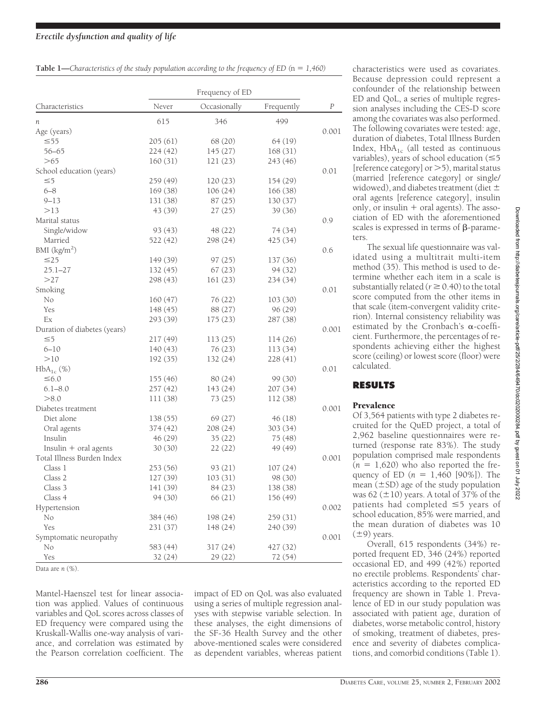# *Erectile dysfunction and quality of life*

| Table 1—Characteristics of the study population according to the frequency of ED ( $n = 1,460$ ) |  |  |  |  |  |  |
|--------------------------------------------------------------------------------------------------|--|--|--|--|--|--|
|--------------------------------------------------------------------------------------------------|--|--|--|--|--|--|

|                              | Frequency of ED |              |            |                  |
|------------------------------|-----------------|--------------|------------|------------------|
| Characteristics              | Never           | Occasionally | Frequently | $\boldsymbol{P}$ |
| п                            | 615             | 346          | 499        |                  |
| Age (years)                  |                 |              |            | 0.001            |
| $\leq 55$                    | 205(61)         | 68 (20)      | 64 (19)    |                  |
| 56–65                        | 224(42)         | 145(27)      | 168(31)    |                  |
| >65                          | 160(31)         | 121(23)      | 243 (46)   |                  |
| School education (years)     |                 |              |            | 0.01             |
| $\leq 5$                     | 259 (49)        | 120(23)      | 154 (29)   |                  |
| $6 - 8$                      | 169 (38)        | 106(24)      | 166 (38)   |                  |
| $9 - 13$                     | 131 (38)        | 87(25)       | 130 (37)   |                  |
| >13                          | 43 (39)         | 27(25)       | 39 (36)    |                  |
| Marital status               |                 |              |            | 0.9              |
| Single/widow                 | 93 (43)         | 48 (22)      | 74 (34)    |                  |
| Married                      | 522 (42)        | 298 (24)     | 425 (34)   |                  |
| BMI (kg/m <sup>2</sup> )     |                 |              |            | 0.6              |
| $\leq$ 25                    | 149 (39)        | 97(25)       | 137 (36)   |                  |
| $25.1 - 27$                  | 132 (45)        | 67(23)       | 94 (32)    |                  |
| >27                          | 298 (43)        | 161(23)      | 234 (34)   |                  |
| Smoking                      |                 |              |            | 0.01             |
| No                           | 160(47)         | 76 (22)      | 103 (30)   |                  |
| Yes                          | 148 (45)        | 88 (27)      | 96(29)     |                  |
| Ex                           | 293 (39)        | 175(23)      | 287 (38)   |                  |
| Duration of diabetes (years) |                 |              |            | 0.001            |
| $\leq 5$                     | 217 (49)        | 113(25)      | 114(26)    |                  |
| $6 - 10$                     | 140 (43)        | 76 (23)      | 113(34)    |                  |
| >10                          | 192 (35)        | 132 (24)     | 228(41)    |                  |
| $HbA_{1c}$ (%)               |                 |              |            | 0.01             |
| $\leq 6.0$                   | 155 (46)        | 80(24)       | 99 (30)    |                  |
| $6.1 - 8.0$                  | 257(42)         | 143 (24)     | 207(34)    |                  |
| > 8.0                        | 111 (38)        | 73 (25)      | 112 (38)   |                  |
| Diabetes treatment           |                 |              |            | 0.001            |
| Diet alone                   | 138 (55)        | 69 (27)      | 46(18)     |                  |
| Oral agents                  | 374 (42)        | 208(24)      | 303(34)    |                  |
| Insulin                      | 46 (29)         | 35(22)       | 75 (48)    |                  |
| Insulin $+$ oral agents      | 30(30)          | 22(22)       | 49 (49)    |                  |
| Total Illness Burden Index   |                 |              |            | 0.001            |
| Class 1                      | 253(56)         | 93 (21)      | 107(24)    |                  |
| Class 2                      | 127 (39)        | 103(31)      | 98 (30)    |                  |
| Class 3                      | 141 (39)        | 84 (23)      | 138 (38)   |                  |
| Class 4                      | 94 (30)         | 66 (21)      | 156 (49)   |                  |
| Hypertension                 |                 |              |            | 0.002            |
| No                           | 384 (46)        | 198 (24)     | 259 (31)   |                  |
| Yes                          | 231 (37)        | 148 (24)     | 240 (39)   |                  |
| Symptomatic neuropathy       |                 |              |            | 0.001            |
| No                           | 583 (44)        | 317(24)      | 427(32)    |                  |
| Yes                          | 32 (24)         | 29 (22)      | 72 (54)    |                  |
|                              |                 |              |            |                  |

Data are *n* (%).

Mantel-Haenszel test for linear association was applied. Values of continuous variables and QoL scores across classes of ED frequency were compared using the Kruskall-Wallis one-way analysis of variance, and correlation was estimated by the Pearson correlation coefficient. The

impact of ED on QoL was also evaluated using a series of multiple regression analyses with stepwise variable selection. In these analyses, the eight dimensions of the SF-36 Health Survey and the other above-mentioned scales were considered as dependent variables, whereas patient characteristics were used as covariates. Because depression could represent a confounder of the relationship between ED and QoL, a series of multiple regression analyses including the CES-D score among the covariates was also performed. The following covariates were tested: age, duration of diabetes, Total Illness Burden Index,  $HbA_{1c}$  (all tested as continuous variables), years of school education ( $\leq 5$ [reference category] or  $>$  5), marital status (married [reference category] or single/ widowed), and diabetes treatment (diet  $\pm$ oral agents [reference category], insulin only, or insulin  $+$  oral agents). The association of ED with the aforementioned scales is expressed in terms of  $\beta$ -parameters.

The sexual life questionnaire was validated using a multitrait multi-item method (35)<sup>This</sup> method is used to determine whether each item in a scale is substantially related ( $r \ge 0.40$ ) to the total score computed from the other items in that scale (item-convergent validity criterion). Internal consistency reliability was estimated by the Cronbach's  $\alpha$ -coefficient. Furthermore, the percentages of respondents achieving either the highest score (ceiling) or lowest score (floor) were calculated.

# **RESULTS**

# Prevalence

Of 3,564 patients with type 2 diabetes recruited for the QuED project, a total of 2,962 baseline questionnaires were returned (response rate 83%). The study population comprised male respondents  $(n = 1,620)$  who also reported the frequency of ED  $(n = 1,460 [90\%])$ . The mean  $(\pm SD)$  age of the study population was  $62 (\pm 10)$  years. A total of 37% of the patients had completed  $\leq$ 5 years of school education, 85% were married, and the mean duration of diabetes was 10  $(\pm 9)$  years.

Overall, 615 respondents (34%) reported frequent ED, 346 (24%) reported occasional ED, and 499 (42%) reported no erectile problems. Respondents' characteristics according to the reported ED frequency are shown in Table 1. Prevalence of ED in our study population was associated with patient age, duration of diabetes, worse metabolic control, history of smoking, treatment of diabetes, presence and severity of diabetes complications, and comorbid conditions (Table 1).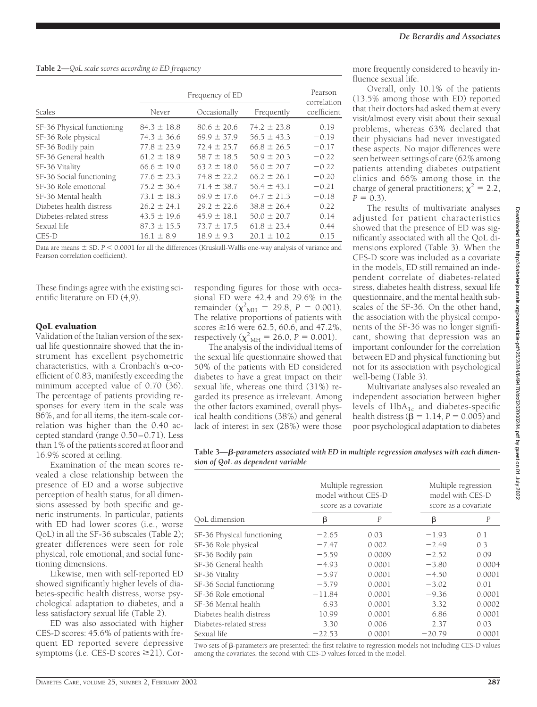**Table 2—***QoL scale scores according to ED frequency*

|                            | Frequency of ED | Pearson         |                 |                            |  |
|----------------------------|-----------------|-----------------|-----------------|----------------------------|--|
| Scales                     | Never           | Occasionally    | Frequently      | correlation<br>coefficient |  |
| SF-36 Physical functioning | $84.3 \pm 18.8$ | $80.6 \pm 20.6$ | $74.2 \pm 23.8$ | $-0.19$                    |  |
| SF-36 Role physical        | $74.3 \pm 36.6$ | $69.9 \pm 37.9$ | $56.5 \pm 43.3$ | $-0.19$                    |  |
| SF-36 Bodily pain          | $77.8 \pm 23.9$ | $72.4 \pm 25.7$ | $66.8 \pm 26.5$ | $-0.17$                    |  |
| SF-36 General health       | $61.2 \pm 18.9$ | $58.7 \pm 18.5$ | $50.9 \pm 20.3$ | $-0.22$                    |  |
| SF-36 Vitality             | $66.6 \pm 19.0$ | $63.2 \pm 18.0$ | $56.0 \pm 20.7$ | $-0.22$                    |  |
| SF-36 Social functioning   | $77.6 \pm 23.3$ | $74.8 \pm 22.2$ | $66.2 \pm 26.1$ | $-0.20$                    |  |
| SF-36 Role emotional       | $75.2 \pm 36.4$ | $71.4 \pm 38.7$ | $56.4 \pm 43.1$ | $-0.21$                    |  |
| SF-36 Mental health        | $73.1 \pm 18.3$ | $69.9 \pm 17.6$ | $64.7 \pm 21.3$ | $-0.18$                    |  |
| Diabetes health distress   | $26.2 \pm 24.1$ | $29.2 \pm 22.6$ | $38.8 \pm 26.4$ | 0.22                       |  |
| Diabetes-related stress    | $43.5 \pm 19.6$ | $45.9 \pm 18.1$ | $50.0 \pm 20.7$ | 0.14                       |  |
| Sexual life                | $87.3 \pm 15.5$ | $73.7 \pm 17.5$ | $61.8 \pm 23.4$ | $-0.44$                    |  |
| CES-D                      | $16.1 \pm 8.9$  | $18.9 \pm 9.3$  | $20.1 \pm 10.2$ | 0.15                       |  |

Data are means  $\pm$  SD. *P* < 0.0001 for all the differences (Kruskall-Wallis one-way analysis of variance and Pearson correlation coefficient).

These findings agree with the existing scientific literature on ED (4,9).

# QoL evaluation

Validation of the Italian version of the sexual life questionnaire showed that the instrument has excellent psychometric characteristics, with a Cronbach's  $\alpha$ -coefficient of 0.83, manifestly exceeding the minimum accepted value of 0.70 (36). The percentage of patients providing responses for every item in the scale was 86%, and for all items, the item-scale correlation was higher than the 0.40 accepted standard (range 0.50–0.71). Less than 1% of the patients scored at floor and 16.9% scored at ceiling.

Examination of the mean scores revealed a close relationship between the presence of ED and a worse subjective perception of health status, for all dimensions assessed by both specific and generic instruments. In particular, patients with ED had lower scores (i.e., worse QoL) in all the SF-36 subscales (Table 2); greater differences were seen for role physical, role emotional, and social functioning dimensions.

Likewise, men with self-reported ED showed significantly higher levels of diabetes-specific health distress, worse psychological adaptation to diabetes, and a less satisfactory sexual life (Table 2).

ED was also associated with higher CES-D scores: 45.6% of patients with frequent ED reported severe depressive symptoms (i.e. CES-D scores  $\geq$ 21). Cor-

responding figures for those with occasional ED were 42.4 and 29.6% in the remainder ( $\chi^2$ <sub>MH</sub> = 29.8, *P* = 0.001). The relative proportions of patients with scores  $\geq 16$  were 62.5, 60.6, and 47.2%, respectively ( $\chi^2_{\text{MH}} = 26.0, P = 0.001$ ).

The analysis of the individual items of the sexual life questionnaire showed that 50% of the patients with ED considered diabetes to have a great impact on their sexual life, whereas one third (31%) regarded its presence as irrelevant. Among the other factors examined, overall physical health conditions (38%) and general lack of interest in sex (28%) were those

more frequently considered to heavily influence sexual life.

Overall, only 10.1% of the patients (13.5% among those with ED) reported that their doctors had asked them at every visit/almost every visit about their sexual problems, whereas 63% declared that their physicians had never investigated these aspects. No major differences were seen between settings of care (62% among patients attending diabetes outpatient clinics and 66% among those in the charge of general practitioners;  $\chi^2 = 2.2$ ,  $P = 0.3$ .

The results of multivariate analyses adjusted for patient characteristics showed that the presence of ED was significantly associated with all the QoL dimensions explored (Table 3). When the CES-D score was included as a covariate in the models, ED still remained an independent correlate of diabetes-related stress, diabetes health distress, sexual life questionnaire, and the mental health subscales of the SF-36. On the other hand, the association with the physical components of the SF-36 was no longer significant, showing that depression was an important confounder for the correlation between ED and physical functioning but not for its association with psychological well-being (Table 3).

Multivariate analyses also revealed an independent association between higher levels of  $HbA_{1c}$  and diabetes-specific health distress ( $\beta$  = 1.14, *P* = 0.005) and poor psychological adaptation to diabetes

Table 3— $\beta$ -parameters associated with ED in multiple regression analyses with each dimen*sion of QoL as dependent variable*

|                            | Multiple regression<br>model without CES-D<br>score as a covariate |        | Multiple regression<br>model with CES-D<br>score as a covariate |        |
|----------------------------|--------------------------------------------------------------------|--------|-----------------------------------------------------------------|--------|
| QoL dimension              | β                                                                  | P      | β                                                               | P      |
| SF-36 Physical functioning | $-2.65$                                                            | 0.03   | $-1.93$                                                         | 0.1    |
| SF-36 Role physical        | $-7.47$                                                            | 0.002  | $-2.49$                                                         | 0.3    |
| SF-36 Bodily pain          | $-5.59$                                                            | 0.0009 | $-2.52$                                                         | 0.09   |
| SF-36 General health       | $-4.93$                                                            | 0.0001 | $-3.80$                                                         | 0.0004 |
| SF-36 Vitality             | $-5.97$                                                            | 0.0001 | $-4.50$                                                         | 0.0001 |
| SF-36 Social functioning   | $-5.79$                                                            | 0.0001 | $-3.02$                                                         | 0.01   |
| SF-36 Role emotional       | $-11.84$                                                           | 0.0001 | $-9.36$                                                         | 0.0001 |
| SF-36 Mental health        | $-6.93$                                                            | 0.0001 | $-3.32$                                                         | 0.0002 |
| Diabetes health distress   | 10.99                                                              | 0.0001 | 6.86                                                            | 0.0001 |
| Diabetes-related stress    | 3.30                                                               | 0.006  | 2.37                                                            | 0.03   |
| Sexual life                | $-22.53$                                                           | 0.0001 | $-20.79$                                                        | 0.0001 |

Two sets of  $\beta$ -parameters are presented: the first relative to regression models not including CES-D values among the covariates, the second with CES-D values forced in the model.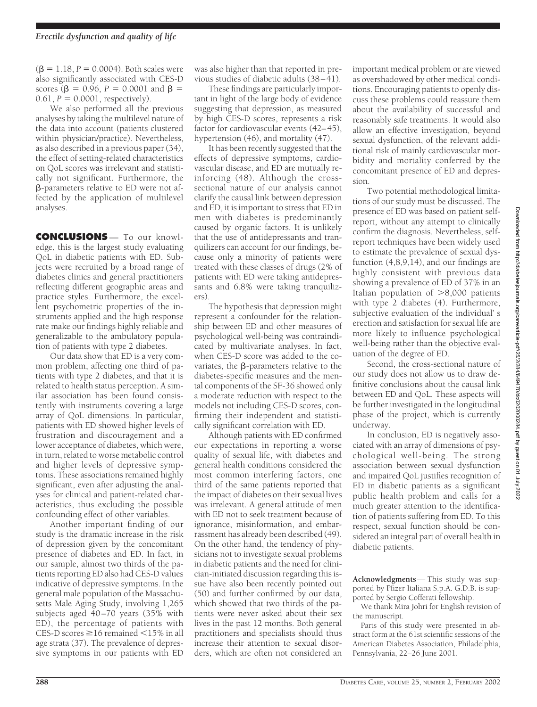$(\beta = 1.18, P = 0.0004)$ . Both scales were also significantly associated with CES-D scores ( $\beta$  = 0.96, *P* = 0.0001 and  $\beta$  =  $0.61, P = 0.0001$ , respectively).

We also performed all the previous analyses by taking the multilevel nature of the data into account (patients clustered within physician/practice). Nevertheless, as also described in a previous paper (34), the effect of setting-related characteristics on QoL scores was irrelevant and statistically not significant. Furthermore, the -parameters relative to ED were not affected by the application of multilevel analyses.

**CONCLUSIONS** — To our knowledge, this is the largest study evaluating QoL in diabetic patients with ED. Subjects were recruited by a broad range of diabetes clinics and general practitioners reflecting different geographic areas and practice styles. Furthermore, the excellent psychometric properties of the instruments applied and the high response rate make our findings highly reliable and generalizable to the ambulatory population of patients with type 2 diabetes.

Our data show that ED is a very common problem, affecting one third of patients with type 2 diabetes, and that it is related to health status perception. A similar association has been found consistently with instruments covering a large array of QoL dimensions. In particular, patients with ED showed higher levels of frustration and discouragement and a lower acceptance of diabetes, which were, in turn, related to worse metabolic control and higher levels of depressive symptoms. These associations remained highly significant, even after adjusting the analyses for clinical and patient-related characteristics, thus excluding the possible confounding effect of other variables.

Another important finding of our study is the dramatic increase in the risk of depression given by the concomitant presence of diabetes and ED. In fact, in our sample, almost two thirds of the patients reporting ED also had CES-D values indicative of depressive symptoms. In the general male population of the Massachusetts Male Aging Study, involving 1,265 subjects aged 40-70 years (35% with ED), the percentage of patients with CES-D scores  $\geq 16$  remained  $\leq 15\%$  in all age strata (37). The prevalence of depressive symptoms in our patients with ED

was also higher than that reported in previous studies of diabetic adults (38–41).

These findings are particularly important in light of the large body of evidence suggesting that depression, as measured by high CES-D scores, represents a risk factor for cardiovascular events (42–45), hypertension (46), and mortality (47).

It has been recently suggested that the effects of depressive symptoms, cardiovascular disease, and ED are mutually reinforcing (48). Although the crosssectional nature of our analysis cannot clarify the causal link between depression and ED, it is important to stress that ED in men with diabetes is predominantly caused by organic factors. It is unlikely that the use of antidepressants and tranquilizers can account for our findings, because only a minority of patients were treated with these classes of drugs (2% of patients with ED were taking antidepressants and 6.8% were taking tranquilizers).

The hypothesis that depression might represent a confounder for the relationship between ED and other measures of psychological well-being was contraindicated by multivariate analyses. In fact, when CES-D score was added to the covariates, the  $\beta$ -parameters relative to the diabetes-specific measures and the mental components of the SF-36 showed only a moderate reduction with respect to the models not including CES-D scores, confirming their independent and statistically significant correlation with ED.

Although patients with ED confirmed our expectations in reporting a worse quality of sexual life, with diabetes and general health conditions considered the most common interfering factors, one third of the same patients reported that the impact of diabetes on their sexual lives was irrelevant. A general attitude of men with ED not to seek treatment because of ignorance, misinformation, and embarrassment has already been described (49). On the other hand, the tendency of physicians not to investigate sexual problems in diabetic patients and the need for clinician-initiated discussion regarding this issue have also been recently pointed out (50) and further confirmed by our data, which showed that two thirds of the patients were never asked about their sex lives in the past 12 months. Both general practitioners and specialists should thus increase their attention to sexual disorders, which are often not considered an

important medical problem or are viewed as overshadowed by other medical conditions. Encouraging patients to openly discuss these problems could reassure them about the availability of successful and reasonably safe treatments. It would also allow an effective investigation, beyond sexual dysfunction, of the relevant additional risk of mainly cardiovascular morbidity and mortality conferred by the concomitant presence of ED and depression.

Two potential methodological limitations of our study must be discussed. The presence of ED was based on patient selfreport, without any attempt to clinically confirm the diagnosis. Nevertheless, selfreport techniques have been widely used to estimate the prevalence of sexual dysfunction (4,8,9,14), and our findings are highly consistent with previous data showing a prevalence of ED of 37% in an Italian population of  $>8,000$  patients with type 2 diabetes (4). Furthermore, subjective evaluation of the individual' s erection and satisfaction for sexual life are more likely to influence psychological well-being rather than the objective evaluation of the degree of ED.

Second, the cross-sectional nature of our study does not allow us to draw definitive conclusions about the causal link between ED and QoL. These aspects will be further investigated in the longitudinal phase of the project, which is currently underway.

In conclusion, ED is negatively associated with an array of dimensions of psychological well-being. The strong association between sexual dysfunction and impaired QoL justifies recognition of ED in diabetic patients as a significant public health problem and calls for a much greater attention to the identification of patients suffering from ED. To this respect, sexual function should be considered an integral part of overall health in diabetic patients.

**Acknowledgments**— This study was supported by Pfizer Italiana S.p.A. G.D.B. is supported by Sergio Cofferati fellowship.

We thank Mira Johri for English revision of the manuscript.

Parts of this study were presented in abstract form at the 61st scientific sessions of the American Diabetes Association, Philadelphia, Pennsylvania, 22–26 June 2001.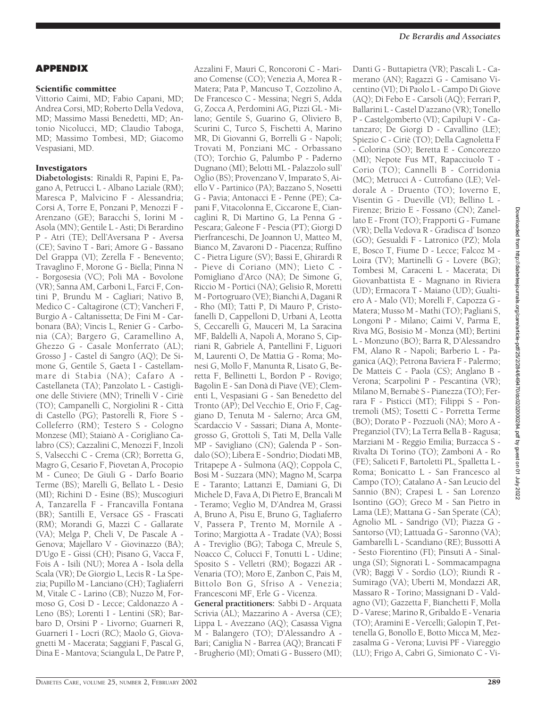#### Scientific committee

Vittorio Caimi, MD; Fabio Capani, MD; Andrea Corsi, MD; Roberto Della Vedova, MD; Massimo Massi Benedetti, MD; Antonio Nicolucci, MD; Claudio Taboga, MD; Massimo Tombesi, MD; Giacomo Vespasiani, MD.

#### Investigators

**Diabetologists:** Rinaldi R, Papini E, Pagano A, Petrucci L - Albano Laziale (RM); Maresca P, Malvicino F - Alessandria; Corsi A, Torre E, Ponzani P, Menozzi F - Arenzano (GE); Baracchi S, Iorini M - Asola (MN); Gentile L - Asti; Di Berardino P - Atri (TE); Dell'Aversana P - Aversa (CE); Savino T - Bari; Amore G - Bassano Del Grappa (VI); Zerella F - Benevento; Travaglino F, Morone G - Biella; Pinna N - Borgosesia (VC); Poli MA - Bovolone (VR); Sanna AM, Carboni L, Farci F, Contini P, Brundu M - Cagliari; Nativo B, Medico C - Caltagirone (CT); Vancheri F, Burgio A - Caltanissetta; De Fini M - Carbonara (BA); Vincis L, Renier G - Carbonia (CA); Bargero G, Caramellino A, Ghezzo G - Casale Monferrato (AL); Grosso J - Castel di Sangro (AQ); De Simone G, Gentile S, Gaeta I - Castellammare di Stabia (NA); Cafaro A - Castellaneta (TA); Panzolato L - Castiglione delle Stiviere (MN); Trinelli V - Cirie` (TO); Campanelli C, Norgiolini R - Citta` di Castello (PG); Pastorelli R, Fiore S - Colleferro (RM); Testero S - Cologno Monzese (MI); Staianò A - Corigliano Calabro (CS); Cazzalini C, Menozzi F, Inzoli S, Valsecchi C - Crema (CR); Borretta G, Magro G, Cesario F, Piovetan A, Procopio M - Cuneo; De Giuli G - Darfo Boario Terme (BS); Marelli G, Bellato L - Desio (MI); Richini D - Esine (BS); Muscogiuri A, Tanzarella F - Francavilla Fontana (BR); Santilli E, Versace GS - Frascati (RM); Morandi G, Mazzi C - Gallarate (VA); Melga P, Cheli V, De Pascale A - Genova; Majellaro V - Giovinazzo (BA); D'Ugo E - Gissi (CH); Pisano G, Vacca F, Fois A - Isili (NU); Morea A - Isola della Scala (VR); De Giorgio L, Lecis R - La Spezia; Pupillo M - Lanciano (CH); Tagliaferri M, Vitale C - Larino (CB); Nuzzo M, Formoso G, Cosi D - Lecce; Caldonazzo A - Leno (BS); Lorenti I - Lentini (SR); Barbaro D, Orsini P - Livorno; Guarneri R, Guarneri I - Locri (RC); Maolo G, GiovagnettiM-Macerata; Saggiani F, Pascal G, Dina E - Mantova; Sciangula L, De Patre P,

Azzalini F, Mauri C, Roncoroni C - Mariano Comense (CO); Venezia A, Morea R - Matera; Pata P, Mancuso T, Cozzolino A, De Francesco C - Messina; Negri S, Adda G, Zocca A, Perdomini AG, Pizzi GL - Milano; Gentile S, Guarino G, Oliviero B, Scurini C, Turco S, Fischetti A, Marino MR, Di Giovanni G, Borrelli G - Napoli; Trovati M, Ponziani MC - Orbassano (TO); Torchio G, Palumbo P - Paderno Dugnano (MI); Belotti ML - Palazzolo sull' Oglio (BS); Provenzano V, Imparato S, Aiello V - Partinico (PA); Bazzano S, Nosetti G - Pavia; Antonacci E - Penne (PE); Capani F, Vitacolonna E, Ciccarone E, Ciancaglini R, Di Martino G, La Penna G - Pescara; Galeone F - Pescia (PT); Giorgi D Pierfranceschi, De Joannon U, Matteo M, Bianco M, Zavaroni D - Piacenza; Ruffino C - Pietra Ligure (SV); Bassi E, Ghirardi R - Pieve di Coriano (MN); Lieto C - Pomigliano d'Arco (NA); De Simone G, Riccio M - Portici (NA); Gelisio R, Moretti M - Portogruaro (VE); Bianchi A, Dagani R - Rho (MI); Tatti P, Di Mauro P, Cristofanelli D, Cappelloni D, Urbani A, Leotta S, Ceccarelli G, Mauceri M, La Saracina MF, Baldelli A, Napoli A, Morano S, Cipriani R, Gabriele A, Pantellini F, Liguori M, Laurenti O, De Mattia G - Roma; Monesi G, Mollo F, Manunta R, Lisato G, Beretta F, Bellinetti L, Bordon P - Rovigo; Bagolin E - San Donà di Piave (VE); Clementi L, Vespasiani G - San Benedetto del Tronto (AP); Del Vecchio E, Orio F, Caggiano D, Tenuta M - Salerno; Arca GM, Scardaccio V - Sassari; Diana A, Montegrosso G, Grottoli S, Tati M, Della Valle MP - Savigliano (CN); Galenda P - Sondalo (SO); Libera E - Sondrio; Diodati MB, Tritapepe A - Sulmona (AQ); Coppola C, Bosi M - Suzzara (MN); Magno M, Scarpa E - Taranto; Lattanzi E, Damiani G, Di Michele D, Fava A, Di Pietro E, Brancali M - Teramo; Veglio M, D'Andrea M, Grassi A, Bruno A, Pisu E, Bruno G, Tagliaferro V, Passera P, Trento M, Mornile A - Torino; Margiotta A - Tradate (VA); Bossi A - Treviglio (BG); Taboga C, Mreule S, Noacco C, Colucci F, Tonutti L - Udine; Sposito S - Velletri (RM); Bogazzi AR - Venaria (TO); Moro E, Zanbon C, Pais M, Bittolo Bon G, Sfriso A - Venezia; Francesconi MF, Erle G - Vicenza. **General practitioners:** Sabbi D - Arquata

Scrivia (AL); Mazzarino A - Aversa (CE); Lippa L - Avezzano (AQ); Casassa Vigna M - Balangero (TO); D'Alessandro A - Bari; Caniglia N - Barrea (AQ); Brancati F - Brugherio (MI); Omati G - Bussero (MI); Danti G - Buttapietra (VR); Pascali L - Camerano (AN); Ragazzi G - Camisano Vicentino (VI); Di Paolo L - Campo Di Giove (AQ); Di Febo E - Carsoli (AQ); Ferrari P, Ballarini L - Castel D'azzano (VR); Tonello P - Castelgomberto (VI); Capilupi V - Catanzaro; De Giorgi D - Cavallino (LE); Spiezio C - Ciriè (TO); Della Cagnoletta F - Colorina (SO); Beretta E - Concorezzo (MI); Nepote Fus MT, Rapacciuolo T - Corio (TO); Cannelli B - Corridonia (MC); Metrucci A - Cutrofiano (LE); Veldorale A - Druento (TO); Ioverno E, Visentin G - Dueville (VI); Bellino L -Firenze; Brizio E - Fossano (CN); Zanellato E - Front (TO); Frapporti G - Fumane (VR); Della Vedova R - Gradisca d' Isonzo (GO); Gesualdi F - Latronico (PZ); Mola E, Bosco T, Fiume D - Lecce; Falcoz M - Loira (TV); Martinelli G - Lovere (BG); Tombesi M, Caraceni L - Macerata; Di Giovanbattista E - Magnano in Riviera (UD); Ermacora T - Maiano (UD); Gualtiero A - Malo (VI); Morelli F, Capozza G - Matera; Musso M - Mathi (TO); Pagliani S, Longoni P - Milano; Caimi V, Parma E, Riva MG, Bosisio M - Monza (MI); Bertini L - Monzuno (BO); Barra R, D'Alessandro FM, Alano R - Napoli; Barberio L - Paganica (AQ); Petrona Baviera F - Palermo; De Matteis C - Paola (CS); Anglano B - Verona; Scarpolini P - Pescantina (VR); Milano M, Bernabè S - Pianezza (TO); Ferrara F - Pisticci (MT); Filippi S - Pontremoli (MS); Tosetti C - Porretta Terme (BO); Dorato P - Pozzuoli (NA); Moro A - Preganziol (TV); La Terra Bella B - Ragusa; Marziani M - Reggio Emilia; Burzacca S - Rivalta Di Torino (TO); Zamboni A - Ro (FE); Saliceti F, Bartoletti PL, Spalletta L - Roma; Bonicatto L - San Francesco al Campo (TO); Catalano A - San Leucio del Sannio (BN); Crapesi L - San Lorenzo Isontino (GO); Greco M - San Pietro in Lama (LE); Mattana G - San Sperate (CA); Agnolio ML - Sandrigo (VI); Piazza G - Santorso (VI); Lattuada G - Saronno (VA); Gambarelli L - Scandiano (RE); Bussotti A - Sesto Fiorentino (FI); Pinsuti A - Sinalunga (SI); Signorati L - Sommacampagna (VR); Baggi V - Sordio (LO); Riundi R - Sumirago (VA); Uberti M, Mondazzi AR, Massaro R - Torino; Massignani D - Valdagno (VI); Gazzetta F, Bianchetti F, Molla D - Varese; Marino R, Gribaldo E - Venaria (TO); Aramini E - Vercelli; Galopin T, Pettenella G, Bonollo E, Botto Micca M, Mezzasalma G - Verona; Luvisi PF - Viareggio (LU); Frigo A, Cabri G, Simionato C - Vi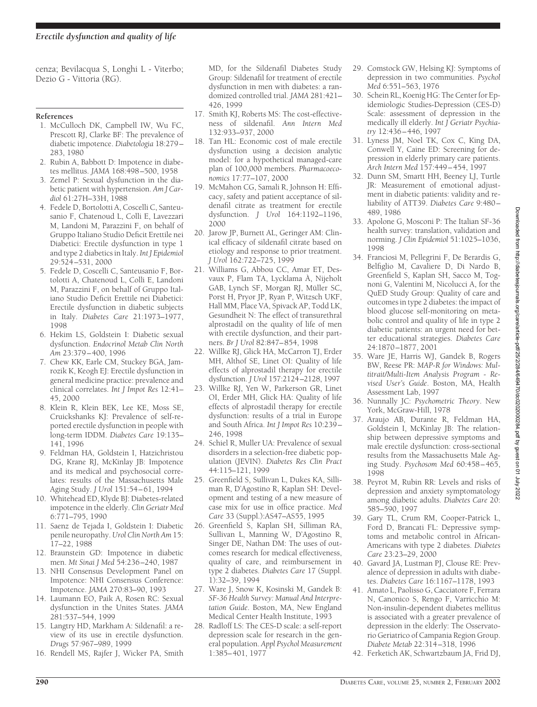cenza; Bevilacqua S, Longhi L - Viterbo; Dezio G - Vittoria (RG).

#### **References**

- 1. McCulloch DK, Campbell IW, Wu FC, Prescott RJ, Clarke BF: The prevalence of diabetic impotence. *Diabetologia* 18:279– 283, 1980
- 2. Rubin A, Babbott D: Impotence in diabetes mellitus. *JAMA* 168:498–500, 1958
- 3. Zemel P: Sexual dysfunction in the diabetic patient with hypertension. *Am J Cardiol* 61:27H–33H, 1988
- 4. Fedele D, Bortolotti A, Coscelli C, Santeusanio F, Chatenoud L, Colli E, Lavezzari M, Landoni M, Parazzini F, on behalf of Gruppo Italiano Studio Deficit Erettile nei Diabetici: Erectile dysfunction in type 1 and type 2 diabetics in Italy. *Int J Epidemiol* 29:524–531, 2000
- 5. Fedele D, Coscelli C, Santeusanio F, Bortolotti A, Chatenoud L, Colli E, Landoni M, Parazzini F, on behalf of Gruppo Italiano Studio Deficit Erettile nei Diabetici: Erectile dysfunction in diabetic subjects in Italy. *Diabetes Care* 21:1973–1977, 1998
- 6. Hekim LS, Goldstein I: Diabetic sexual dysfunction. *Endocrinol Metab Clin North Am* 23:379–400, 1996
- 7. Chew KK, Earle CM, Stuckey BGA, Jamrozik K, Keogh EJ: Erectile dysfunction in general medicine practice: prevalence and clinical correlates. *Int J Impot Res* 12:41– 45, 2000
- 8. Klein R, Klein BEK, Lee KE, Moss SE, Cruickshanks KJ: Prevalence of self-reported erectile dysfunction in people with long-term IDDM. *Diabetes Care* 19:135– 141, 1996
- 9. Feldman HA, Goldstein I, Hatzichristou DG, Krane RJ, McKinlay JB: Impotence and its medical and psychosocial correlates: results of the Massachusetts Male Aging Study. *J Urol* 151:54–61, 1994
- 10. Whitehead ED, Klyde BJ: Diabetes-related impotence in the elderly. *Clin Geriatr Med* 6:771–795, 1990
- 11. Saenz de Tejada I, Goldstein I: Diabetic penile neuropathy.*Urol Clin North Am* 15: 17–22, 1988
- 12. Braunstein GD: Impotence in diabetic men. *Mt Sinai J Med* 54:236–240, 1987
- 13. NHI Consensus Development Panel on Impotence: NHI Consensus Conference: Impotence. *JAMA* 270:83–90, 1993
- 14. Laumann EO, Paik A, Rosen RC: Sexual dysfunction in the Unites States. *JAMA* 281:537–544, 1999
- 15. Langtry HD, Markham A: Sildenafil: a review of its use in erectile dysfunction. *Drugs* 57:967–989, 1999
- 16. Rendell MS, Rajfer J, Wicker PA, Smith

MD, for the Sildenafil Diabetes Study Group: Sildenafil for treatment of erectile dysfunction in men with diabetes: a randomized controlled trial. *JAMA* 281:421– 426, 1999

- 17. Smith KJ, Roberts MS: The cost-effectiveness of sildenafil. *Ann Intern Med* 132:933–937, 2000
- 18. Tan HL: Economic cost of male erectile dysfunction using a decision analytic model: for a hypothetical managed-care plan of 100,000 members. *Pharmacoeconomics* 17:77–107, 2000
- 19. McMahon CG, Samali R, Johnson H: Efficacy, safety and patient acceptance of sildenafil citrate as treatment for erectile dysfunction. *J Urol* 164:1192–1196, 2000
- 20. Jarow JP, Burnett AL, Geringer AM: Clinical efficacy of sildenafil citrate based on etiology and response to prior treatment. *J Urol* 162:722–725, 1999
- 21. Williams G, Abbou CC, Amar ET, Desvaux P, Flam TA, Lycklama À, Nijeholt GAB, Lynch SF, Morgan RJ, Müller SC, Porst H, Pryor JP, Ryan P, Witzsch UKF, Hall MM, Place VA, Spivack AP, Todd LK, Gesundheit N: The effect of transurethral alprostadil on the quality of life of men with erectile dysfunction, and their partners. *Br J Urol* 82:847–854, 1998
- 22. Willke RJ, Glick HA, McCarron TJ, Erder MH, Althof SE, Linet OI: Quality of life effects of alprostadil therapy for erectile dysfunction. *J Urol* 157:2124–2128, 1997
- 23. Willke RJ, Yen W, Parkerson GR, Linet OI, Erder MH, Glick HA: Quality of life effects of alprostadil therapy for erectile dysfunction: results of a trial in Europe and South Africa. *Int J Impot Res* 10:239– 246, 1998
- 24. Schiel R, Muller UA: Prevalence of sexual disorders in a selection-free diabetic population (JEVIN). *Diabetes Res Clin Pract* 44:115–121, 1999
- 25. Greenfield S, Sullivan L, Dukes KA, Silliman R, D'Agostino R, Kaplan SH: Development and testing of a new measure of case mix for use in office practice. *Med Care* 33 (Suppl.):AS47–AS55, 1995
- 26. Greenfield S, Kaplan SH, Silliman RA, Sullivan L, Manning W, D'Agostino R, Singer DE, Nathan DM: The uses of outcomes research for medical effectiveness, quality of care, and reimbursement in type 2 diabetes. *Diabetes Care* 17 (Suppl. 1):32–39, 1994
- 27. Ware J, Snow K, Kosinski M, Gandek B: *SF-36 Health Survey: Manual And Interpretation Guide*. Boston, MA, New England Medical Center Health Institute, 1993
- 28. Radloff LS: The CES-D scale: a self-report depression scale for research in the general population. *Appl Psychol Measurement* 1:385–401, 1977
- 29. Comstock GW, Helsing KJ: Symptoms of depression in two communities. *Psychol Med* 6:551–563, 1976
- 30. Schein RL, Koenig HG: The Center for Epidemiologic Studies-Depression (CES-D) Scale: assessment of depression in the medically ill elderly. *Int J Geriatr Psychiatry* 12:436–446, 1997
- 31. Lyness JM, Noel TK, Cox C, King DA, Conwell Y, Caine ED: Screening for depression in elderly primary care patients. *Arch Intern Med* 157:449–454, 1997
- 32. Dunn SM, Smartt HH, Beeney LJ, Turtle JR: Measurement of emotional adjustment in diabetic patients: validity and reliability of ATT39. *Diabetes Care* 9:480– 489, 1986
- 33. Apolone G, Mosconi P: The Italian SF-36 health survey: translation, validation and norming. *J Clin Epidemiol* 51:1025–1036, 1998
- 34. Franciosi M, Pellegrini F, De Berardis G, Belfiglio M, Cavaliere D, Di Nardo B, Greenfield S, Kaplan SH, Sacco M, Tognoni G, Valentini M, Nicolucci A, for the QuED Study Group: Quality of care and outcomes in type 2 diabetes: the impact of blood glucose self-monitoring on metabolic control and quality of life in type 2 diabetic patients: an urgent need for better educational strategies. *Diabetes Care* 24:1870–1877, 2001
- 35. Ware JE, Harris WJ, Gandek B, Rogers BW, Reese PR: *MAP-R for Windows: Multitrait/Multi-Item Analysis Program - Revised User's Guide*. Boston, MA, Health Assessment Lab, 1997
- 36. Nunnally JC: *Psychometric Theory*. New York, McGraw-Hill, 1978
- 37. Araujo AB, Durante R, Feldman HA, Goldstein I, McKinlay JB: The relationship between depressive symptoms and male erectile dysfunction: cross-sectional results from the Massachusetts Male Aging Study. *Psychosom Med* 60:458–465, 1998
- 38. Peyrot M, Rubin RR: Levels and risks of depression and anxiety symptomatology among diabetic adults. *Diabetes Care* 20: 585–590, 1997
- 39. Gary TL, Crum RM, Cooper-Patrick L, Ford D, Brancati FL: Depressive symptoms and metabolic control in African-Americans with type 2 diabetes. *Diabetes Care* 23:23–29, 2000
- 40. Gavard JA, Lustman PJ, Clouse RE: Prevalence of depression in adults with diabetes. *Diabetes Care* 16:1167–1178, 1993
- 41. Amato L, Paolisso G, Cacciatore F, Ferrara N, Canonico S, Rengo F, Varricchio M: Non-insulin-dependent diabetes mellitus is associated with a greater prevalence of depression in the elderly: The Osservatorio Geriatrico of Campania Region Group. *Diabete Metab* 22:314–318, 1996
- 42. Ferketich AK, Schwartzbaum JA, Frid DJ,